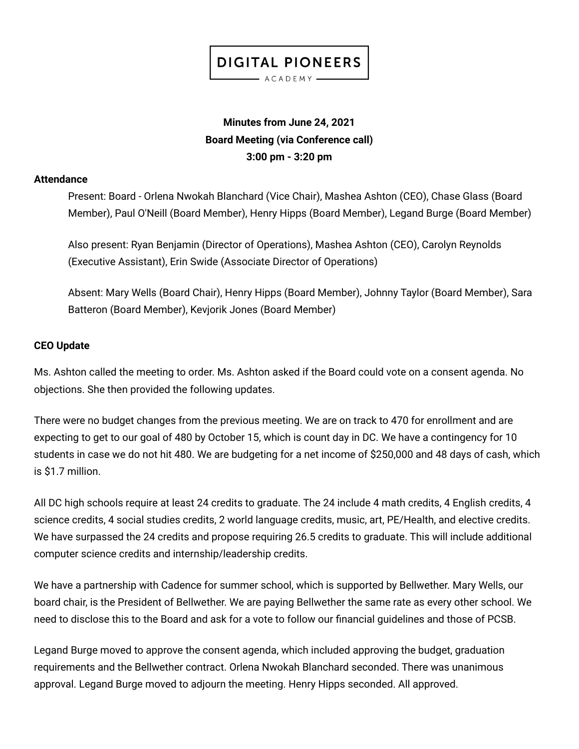

 $-$  ACADEMY  $-$ 

# **Minutes from June 24, 2021 Board Meeting (via Conference call) 3:00 pm - 3:20 pm**

## **Attendance**

Present: Board - Orlena Nwokah Blanchard (Vice Chair), Mashea Ashton (CEO), Chase Glass (Board Member), Paul O'Neill (Board Member), Henry Hipps (Board Member), Legand Burge (Board Member)

Also present: Ryan Benjamin (Director of Operations), Mashea Ashton (CEO), Carolyn Reynolds (Executive Assistant), Erin Swide (Associate Director of Operations)

Absent: Mary Wells (Board Chair), Henry Hipps (Board Member), Johnny Taylor (Board Member), Sara Batteron (Board Member), Kevjorik Jones (Board Member)

## **CEO Update**

Ms. Ashton called the meeting to order. Ms. Ashton asked if the Board could vote on a consent agenda. No objections. She then provided the following updates.

There were no budget changes from the previous meeting. We are on track to 470 for enrollment and are expecting to get to our goal of 480 by October 15, which is count day in DC. We have a contingency for 10 students in case we do not hit 480. We are budgeting for a net income of \$250,000 and 48 days of cash, which is \$1.7 million.

All DC high schools require at least 24 credits to graduate. The 24 include 4 math credits, 4 English credits, 4 science credits, 4 social studies credits, 2 world language credits, music, art, PE/Health, and elective credits. We have surpassed the 24 credits and propose requiring 26.5 credits to graduate. This will include additional computer science credits and internship/leadership credits.

We have a partnership with Cadence for summer school, which is supported by Bellwether. Mary Wells, our board chair, is the President of Bellwether. We are paying Bellwether the same rate as every other school. We need to disclose this to the Board and ask for a vote to follow our financial guidelines and those of PCSB.

Legand Burge moved to approve the consent agenda, which included approving the budget, graduation requirements and the Bellwether contract. Orlena Nwokah Blanchard seconded. There was unanimous approval. Legand Burge moved to adjourn the meeting. Henry Hipps seconded. All approved.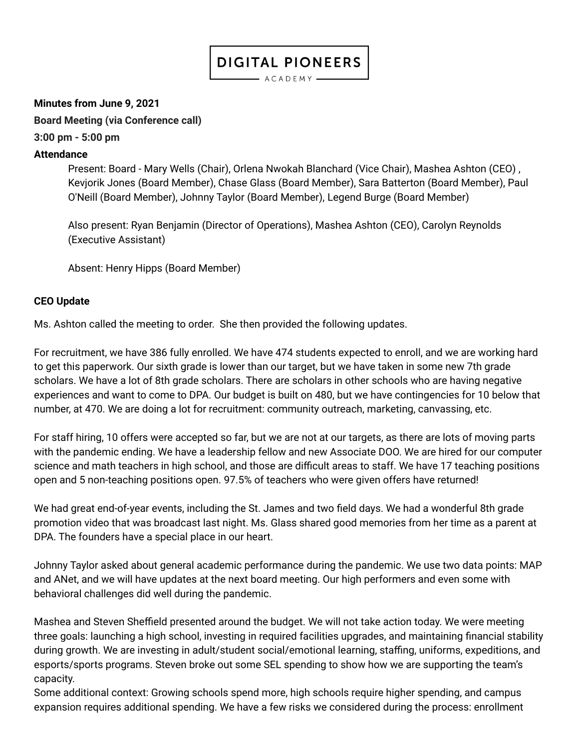$-$  ACADEMY  $-$ 

## **Minutes from June 9, 2021**

**Board Meeting (via Conference call)**

**3:00 pm - 5:00 pm**

## **Attendance**

Present: Board - Mary Wells (Chair), Orlena Nwokah Blanchard (Vice Chair), Mashea Ashton (CEO) , Kevjorik Jones (Board Member), Chase Glass (Board Member), Sara Batterton (Board Member), Paul O'Neill (Board Member), Johnny Taylor (Board Member), Legend Burge (Board Member)

Also present: Ryan Benjamin (Director of Operations), Mashea Ashton (CEO), Carolyn Reynolds (Executive Assistant)

Absent: Henry Hipps (Board Member)

## **CEO Update**

Ms. Ashton called the meeting to order. She then provided the following updates.

For recruitment, we have 386 fully enrolled. We have 474 students expected to enroll, and we are working hard to get this paperwork. Our sixth grade is lower than our target, but we have taken in some new 7th grade scholars. We have a lot of 8th grade scholars. There are scholars in other schools who are having negative experiences and want to come to DPA. Our budget is built on 480, but we have contingencies for 10 below that number, at 470. We are doing a lot for recruitment: community outreach, marketing, canvassing, etc.

For staff hiring, 10 offers were accepted so far, but we are not at our targets, as there are lots of moving parts with the pandemic ending. We have a leadership fellow and new Associate DOO. We are hired for our computer science and math teachers in high school, and those are difficult areas to staff. We have 17 teaching positions open and 5 non-teaching positions open. 97.5% of teachers who were given offers have returned!

We had great end-of-year events, including the St. James and two field days. We had a wonderful 8th grade promotion video that was broadcast last night. Ms. Glass shared good memories from her time as a parent at DPA. The founders have a special place in our heart.

Johnny Taylor asked about general academic performance during the pandemic. We use two data points: MAP and ANet, and we will have updates at the next board meeting. Our high performers and even some with behavioral challenges did well during the pandemic.

Mashea and Steven Sheffield presented around the budget. We will not take action today. We were meeting three goals: launching a high school, investing in required facilities upgrades, and maintaining financial stability during growth. We are investing in adult/student social/emotional learning, staffing, uniforms, expeditions, and esports/sports programs. Steven broke out some SEL spending to show how we are supporting the team's capacity.

Some additional context: Growing schools spend more, high schools require higher spending, and campus expansion requires additional spending. We have a few risks we considered during the process: enrollment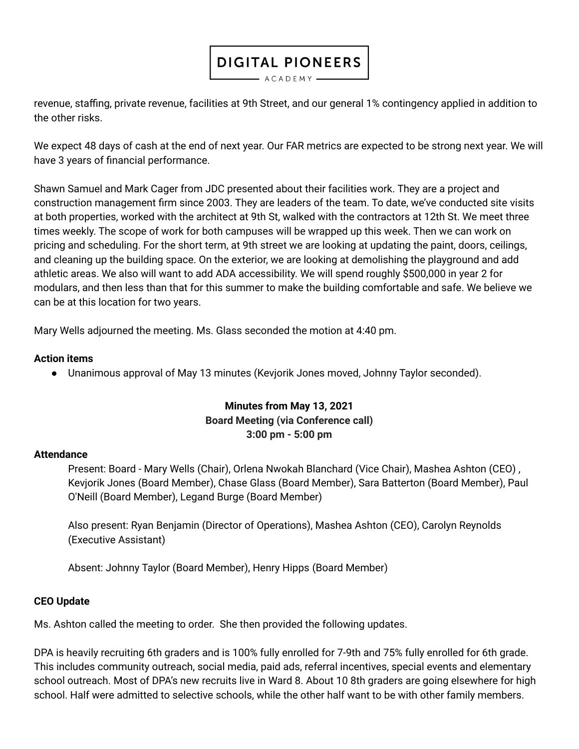$-$  ACADEMY  $-$ 

revenue, staffing, private revenue, facilities at 9th Street, and our general 1% contingency applied in addition to the other risks.

We expect 48 days of cash at the end of next year. Our FAR metrics are expected to be strong next year. We will have 3 years of financial performance.

Shawn Samuel and Mark Cager from JDC presented about their facilities work. They are a project and construction management firm since 2003. They are leaders of the team. To date, we've conducted site visits at both properties, worked with the architect at 9th St, walked with the contractors at 12th St. We meet three times weekly. The scope of work for both campuses will be wrapped up this week. Then we can work on pricing and scheduling. For the short term, at 9th street we are looking at updating the paint, doors, ceilings, and cleaning up the building space. On the exterior, we are looking at demolishing the playground and add athletic areas. We also will want to add ADA accessibility. We will spend roughly \$500,000 in year 2 for modulars, and then less than that for this summer to make the building comfortable and safe. We believe we can be at this location for two years.

Mary Wells adjourned the meeting. Ms. Glass seconded the motion at 4:40 pm.

### **Action items**

● Unanimous approval of May 13 minutes (Kevjorik Jones moved, Johnny Taylor seconded).

# **Minutes from May 13, 2021 Board Meeting (via Conference call) 3:00 pm - 5:00 pm**

#### **Attendance**

Present: Board - Mary Wells (Chair), Orlena Nwokah Blanchard (Vice Chair), Mashea Ashton (CEO) , Kevjorik Jones (Board Member), Chase Glass (Board Member), Sara Batterton (Board Member), Paul O'Neill (Board Member), Legand Burge (Board Member)

Also present: Ryan Benjamin (Director of Operations), Mashea Ashton (CEO), Carolyn Reynolds (Executive Assistant)

Absent: Johnny Taylor (Board Member), Henry Hipps (Board Member)

### **CEO Update**

Ms. Ashton called the meeting to order. She then provided the following updates.

DPA is heavily recruiting 6th graders and is 100% fully enrolled for 7-9th and 75% fully enrolled for 6th grade. This includes community outreach, social media, paid ads, referral incentives, special events and elementary school outreach. Most of DPA's new recruits live in Ward 8. About 10 8th graders are going elsewhere for high school. Half were admitted to selective schools, while the other half want to be with other family members.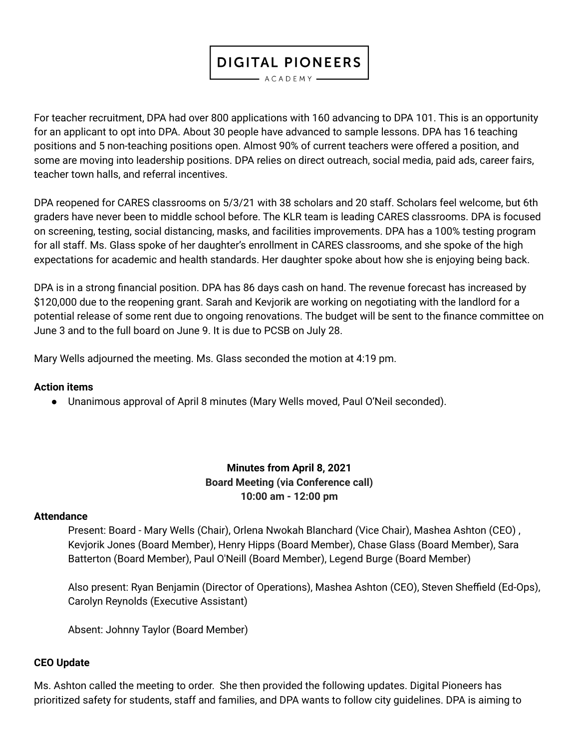$A C A D E M Y$ 

For teacher recruitment, DPA had over 800 applications with 160 advancing to DPA 101. This is an opportunity for an applicant to opt into DPA. About 30 people have advanced to sample lessons. DPA has 16 teaching positions and 5 non-teaching positions open. Almost 90% of current teachers were offered a position, and some are moving into leadership positions. DPA relies on direct outreach, social media, paid ads, career fairs, teacher town halls, and referral incentives.

DPA reopened for CARES classrooms on 5/3/21 with 38 scholars and 20 staff. Scholars feel welcome, but 6th graders have never been to middle school before. The KLR team is leading CARES classrooms. DPA is focused on screening, testing, social distancing, masks, and facilities improvements. DPA has a 100% testing program for all staff. Ms. Glass spoke of her daughter's enrollment in CARES classrooms, and she spoke of the high expectations for academic and health standards. Her daughter spoke about how she is enjoying being back.

DPA is in a strong financial position. DPA has 86 days cash on hand. The revenue forecast has increased by \$120,000 due to the reopening grant. Sarah and Kevjorik are working on negotiating with the landlord for a potential release of some rent due to ongoing renovations. The budget will be sent to the finance committee on June 3 and to the full board on June 9. It is due to PCSB on July 28.

Mary Wells adjourned the meeting. Ms. Glass seconded the motion at 4:19 pm.

### **Action items**

● Unanimous approval of April 8 minutes (Mary Wells moved, Paul O'Neil seconded).

# **Minutes from April 8, 2021 Board Meeting (via Conference call) 10:00 am - 12:00 pm**

#### **Attendance**

Present: Board - Mary Wells (Chair), Orlena Nwokah Blanchard (Vice Chair), Mashea Ashton (CEO) , Kevjorik Jones (Board Member), Henry Hipps (Board Member), Chase Glass (Board Member), Sara Batterton (Board Member), Paul O'Neill (Board Member), Legend Burge (Board Member)

Also present: Ryan Benjamin (Director of Operations), Mashea Ashton (CEO), Steven Sheffield (Ed-Ops), Carolyn Reynolds (Executive Assistant)

Absent: Johnny Taylor (Board Member)

### **CEO Update**

Ms. Ashton called the meeting to order. She then provided the following updates. Digital Pioneers has prioritized safety for students, staff and families, and DPA wants to follow city guidelines. DPA is aiming to